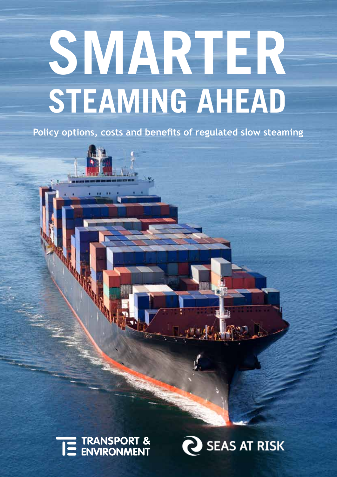# SMARTER **Steaming Ahead**

**Policy options, costs and benefits of regulated slow steaming**



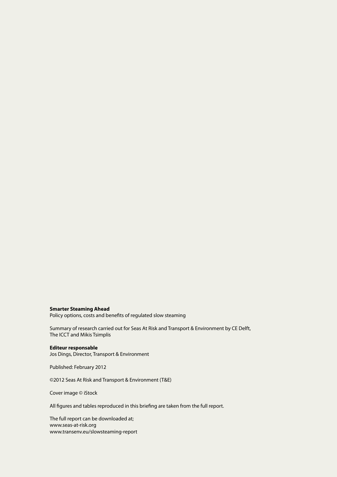#### **Smarter Steaming Ahead**

Policy options, costs and benefits of regulated slow steaming

Summary of research carried out for Seas At Risk and Transport & Environment by CE Delft, The ICCT and Mikis Tsimplis

**Editeur responsable** Jos Dings, Director, Transport & Environment

Published: February 2012

©2012 Seas At Risk and Transport & Environment (T&E)

Cover image © iStock

All figures and tables reproduced in this briefing are taken from the full report.

The full report can be downloaded at; www.seas-at-risk.org www.transenv.eu/slowsteaming-report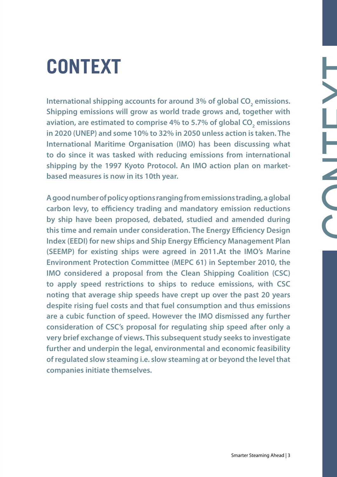# **Context**

International shipping accounts for around 3% of global CO<sub>2</sub> emissions. **Shipping emissions will grow as world trade grows and, together with**  aviation, are estimated to comprise 4% to 5.7% of global CO<sub>2</sub> emissions **in 2020 (UNEP) and some 10% to 32% in 2050 unless action is taken. The International Maritime Organisation (IMO) has been discussing what to do since it was tasked with reducing emissions from international shipping by the 1997 Kyoto Protocol. An IMO action plan on marketbased measures is now in its 10th year.** 

**A good number of policy options ranging from emissions trading, a global carbon levy, to efficiency trading and mandatory emission reductions by ship have been proposed, debated, studied and amended during this time and remain under consideration. The Energy Efficiency Design Index (EEDI) for new ships and Ship Energy Efficiency Management Plan (SEEMP) for existing ships were agreed in 2011.At the IMO's Marine Environment Protection Committee (MEPC 61) in September 2010, the IMO considered a proposal from the Clean Shipping Coalition (CSC) to apply speed restrictions to ships to reduce emissions, with CSC noting that average ship speeds have crept up over the past 20 years despite rising fuel costs and that fuel consumption and thus emissions are a cubic function of speed. However the IMO dismissed any further consideration of CSC's proposal for regulating ship speed after only a very brief exchange of views. This subsequent study seeks to investigate further and underpin the legal, environmental and economic feasibility of regulated slow steaming i.e. slow steaming at or beyond the level that companies initiate themselves.**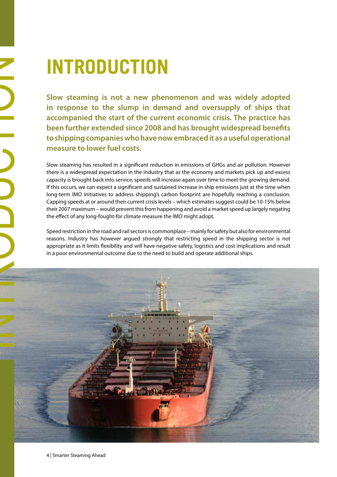# **Introduction**

**Slow steaming is not a new phenomenon and was widely adopted in response to the slump in demand and oversupply of ships that accompanied the start of the current economic crisis. The practice has been further extended since 2008 and has brought widespread benefits to shipping companies who have now embraced it as a useful operational measure to lower fuel costs.** 

Slow steaming has resulted in a significant reduction in emissions of GHGs and air pollution. However there is a widespread expectation in the industry that as the economy and markets pick up and excess capacity is brought back into service, speeds will increase again over time to meet the growing demand. If this occurs, we can expect a significant and sustained increase in ship emissions just at the time when long-term IMO initiatives to address shipping's carbon footprint are hopefully reaching a conclusion. Capping speeds at or around their current crisis levels – which estimates suggest could be 10-15% below their 2007 maximum – would prevent this from happening and avoid a market speed up largely negating the effect of any long-fought-for climate measure the IMO might adopt.

Speed restriction in the road and rail sectors is commonplace – mainly for safety but also for environmental reasons. Industry has however argued strongly that restricting speed in the shipping sector is not appropriate as it limits flexibility and will have negative safety, logistics and cost implications and result in a poor environmental outcome due to the need to build and operate additional ships.

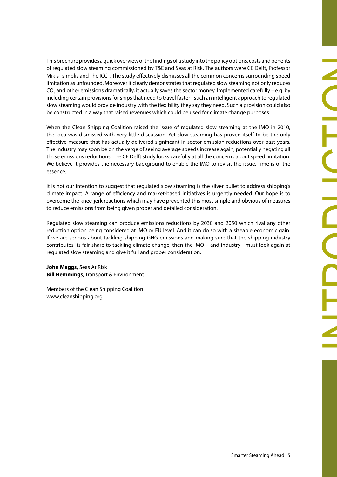This brochure provides a quick overview of the findings of a study into the policy options, costs and benefits of regulated slow steaming commissioned by T&E and Seas at Risk. The authors were CE Delft, Professor Mikis Tsimplis and The ICCT. The study effectively dismisses all the common concerns surrounding speed limitation as unfounded. Moreover it clearly demonstrates that regulated slow steaming not only reduces CO<sub>2</sub> and other emissions dramatically, it actually saves the sector money. Implemented carefully – e.g. by including certain provisions for ships that need to travel faster - such an intelligent approach to regulated slow steaming would provide industry with the flexibility they say they need. Such a provision could also be constructed in a way that raised revenues which could be used for climate change purposes.

When the Clean Shipping Coalition raised the issue of regulated slow steaming at the IMO in 2010, the idea was dismissed with very little discussion. Yet slow steaming has proven itself to be the only effective measure that has actually delivered significant in-sector emission reductions over past years. The industry may soon be on the verge of seeing average speeds increase again, potentially negating all those emissions reductions. The CE Delft study looks carefully at all the concerns about speed limitation. We believe it provides the necessary background to enable the IMO to revisit the issue. Time is of the essence.

It is not our intention to suggest that regulated slow steaming is the silver bullet to address shipping's climate impact. A range of efficiency and market-based initiatives is urgently needed. Our hope is to overcome the knee-jerk reactions which may have prevented this most simple and obvious of measures to reduce emissions from being given proper and detailed consideration.

Regulated slow steaming can produce emissions reductions by 2030 and 2050 which rival any other reduction option being considered at IMO or EU level. And it can do so with a sizeable economic gain. If we are serious about tackling shipping GHG emissions and making sure that the shipping industry contributes its fair share to tackling climate change, then the IMO – and industry - must look again at regulated slow steaming and give it full and proper consideration.

**John Maggs,** Seas At Risk **Bill Hemmings**, Transport & Environment

Members of the Clean Shipping Coalition www.cleanshipping.org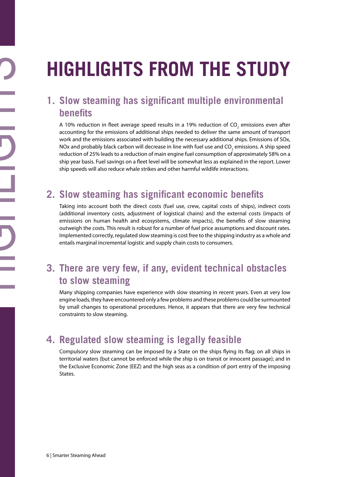# **Highlights from the study**

### **1. Slow steaming has significant multiple environmental benefits**

A 10% reduction in fleet average speed results in a 19% reduction of CO<sub>2</sub> emissions even after accounting for the emissions of additional ships needed to deliver the same amount of transport work and the emissions associated with building the necessary additional ships. Emissions of SOx, NOx and probably black carbon will decrease in line with fuel use and CO<sub>2</sub> emissions. A ship speed reduction of 25% leads to a reduction of main engine fuel consumption of approximately 58% on a ship year basis. Fuel savings on a fleet level will be somewhat less as explained in the report. Lower ship speeds will also reduce whale strikes and other harmful wildlife interactions.

# **2. Slow steaming has significant economic benefits**

Taking into account both the direct costs (fuel use, crew, capital costs of ships), indirect costs (additional inventory costs, adjustment of logistical chains) and the external costs (impacts of emissions on human health and ecosystems, climate impacts), the benefits of slow steaming outweigh the costs. This result is robust for a number of fuel price assumptions and discount rates. Implemented correctly, regulated slow steaming is cost free to the shipping industry as a whole and entails marginal incremental logistic and supply chain costs to consumers.

# **3. There are very few, if any, evident technical obstacles to slow steaming**

Many shipping companies have experience with slow steaming in recent years. Even at very low engine loads, they have encountered only a few problems and these problems could be surmounted by small changes to operational procedures. Hence, it appears that there are very few technical constraints to slow steaming.

# **4. Regulated slow steaming is legally feasible**

Compulsory slow steaming can be imposed by a State on the ships flying its flag; on all ships in territorial waters (but cannot be enforced while the ship is on transit or innocent passage); and in the Exclusive Economic Zone (EEZ) and the high seas as a condition of port entry of the imposing States.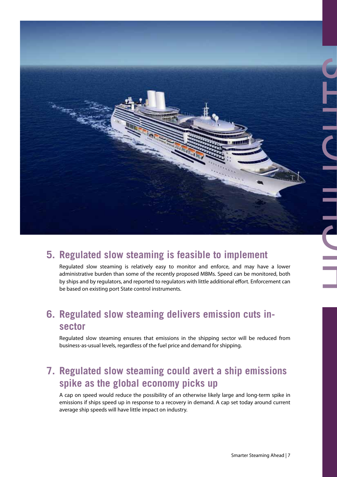

### **5. Regulated slow steaming is feasible to implement**

Regulated slow steaming is relatively easy to monitor and enforce, and may have a lower administrative burden than some of the recently proposed MBMs. Speed can be monitored, both by ships and by regulators, and reported to regulators with little additional effort. Enforcement can be based on existing port State control instruments.

# **6. Regulated slow steaming delivers emission cuts insector**

Regulated slow steaming ensures that emissions in the shipping sector will be reduced from business-as-usual levels, regardless of the fuel price and demand for shipping.

### **7. Regulated slow steaming could avert a ship emissions spike as the global economy picks up**

A cap on speed would reduce the possibility of an otherwise likely large and long-term spike in emissions if ships speed up in response to a recovery in demand. A cap set today around current average ship speeds will have little impact on industry.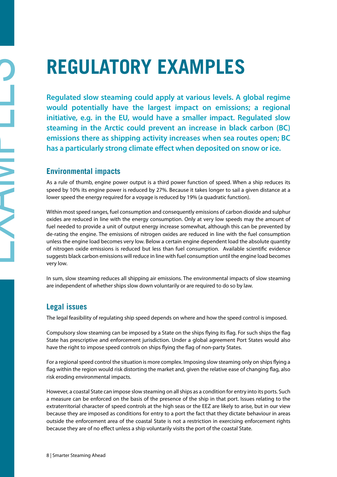**Regulated slow steaming could apply at various levels. A global regime would potentially have the largest impact on emissions; a regional initiative, e.g. in the EU, would have a smaller impact. Regulated slow steaming in the Arctic could prevent an increase in black carbon (BC) emissions there as shipping activity increases when sea routes open; BC has a particularly strong climate effect when deposited on snow or ice.**

#### **Environmental impacts**

EXAMPL

E

S

As a rule of thumb, engine power output is a third power function of speed. When a ship reduces its speed by 10% its engine power is reduced by 27%. Because it takes longer to sail a given distance at a lower speed the energy required for a voyage is reduced by 19% (a quadratic function).

Within most speed ranges, fuel consumption and consequently emissions of carbon dioxide and sulphur oxides are reduced in line with the energy consumption. Only at very low speeds may the amount of fuel needed to provide a unit of output energy increase somewhat, although this can be prevented by de-rating the engine. The emissions of nitrogen oxides are reduced in line with the fuel consumption unless the engine load becomes very low. Below a certain engine dependent load the absolute quantity of nitrogen oxide emissions is reduced but less than fuel consumption. Available scientific evidence suggests black carbon emissions will reduce in line with fuel consumption until the engine load becomes very low.

In sum, slow steaming reduces all shipping air emissions. The environmental impacts of slow steaming are independent of whether ships slow down voluntarily or are required to do so by law.

#### **Legal issues**

The legal feasibility of regulating ship speed depends on where and how the speed control is imposed.

Compulsory slow steaming can be imposed by a State on the ships flying its flag. For such ships the flag State has prescriptive and enforcement jurisdiction. Under a global agreement Port States would also have the right to impose speed controls on ships flying the flag of non-party States.

For a regional speed control the situation is more complex. Imposing slow steaming only on ships flying a flag within the region would risk distorting the market and, given the relative ease of changing flag, also risk eroding environmental impacts.

However, a coastal State can impose slow steaming on all ships as a condition for entry into its ports. Such a measure can be enforced on the basis of the presence of the ship in that port. Issues relating to the extraterritorial character of speed controls at the high seas or the EEZ are likely to arise, but in our view because they are imposed as conditions for entry to a port the fact that they dictate behaviour in areas outside the enforcement area of the coastal State is not a restriction in exercising enforcement rights because they are of no effect unless a ship voluntarily visits the port of the coastal State.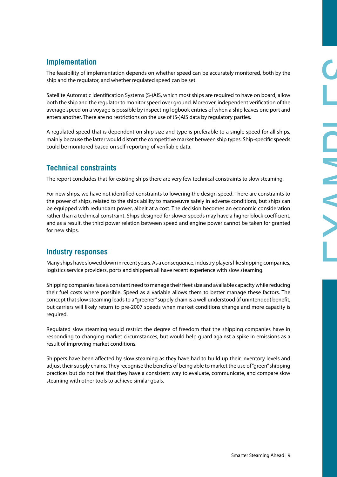#### **Implementation**

The feasibility of implementation depends on whether speed can be accurately monitored, both by the ship and the regulator, and whether regulated speed can be set.

Satellite Automatic Identification Systems (S-)AIS, which most ships are required to have on board, allow both the ship and the regulator to monitor speed over ground. Moreover, independent verification of the average speed on a voyage is possible by inspecting logbook entries of when a ship leaves one port and enters another. There are no restrictions on the use of (S-)AIS data by regulatory parties.

A regulated speed that is dependent on ship size and type is preferable to a single speed for all ships, mainly because the latter would distort the competitive market between ship types. Ship-specific speeds could be monitored based on self-reporting of verifiable data.

#### **Technical constraints**

The report concludes that for existing ships there are very few technical constraints to slow steaming.

For new ships, we have not identified constraints to lowering the design speed. There are constraints to the power of ships, related to the ships ability to manoeuvre safely in adverse conditions, but ships can be equipped with redundant power, albeit at a cost. The decision becomes an economic consideration rather than a technical constraint. Ships designed for slower speeds may have a higher block coefficient, and as a result, the third power relation between speed and engine power cannot be taken for granted for new ships.

#### **Industry responses**

Many ships have slowed down in recent years. As a consequence, industry players like shipping companies, logistics service providers, ports and shippers all have recent experience with slow steaming.

Shipping companies face a constant need to manage their fleet size and available capacity while reducing their fuel costs where possible. Speed as a variable allows them to better manage these factors. The concept that slow steaming leads to a "greener" supply chain is a well understood (if unintended) benefit, but carriers will likely return to pre-2007 speeds when market conditions change and more capacity is required.

Regulated slow steaming would restrict the degree of freedom that the shipping companies have in responding to changing market circumstances, but would help guard against a spike in emissions as a result of improving market conditions.

Shippers have been affected by slow steaming as they have had to build up their inventory levels and adjust their supply chains. They recognise the benefits of being able to market the use of "green" shipping practices but do not feel that they have a consistent way to evaluate, communicate, and compare slow steaming with other tools to achieve similar goals.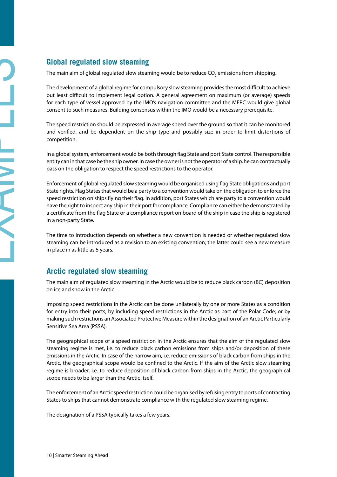#### **Global regulated slow steaming**

The main aim of global regulated slow steaming would be to reduce CO $_{\textrm{\tiny{2}}}$  emissions from shipping.

The development of a global regime for compulsory slow steaming provides the most difficult to achieve but least difficult to implement legal option. A general agreement on maximum (or average) speeds for each type of vessel approved by the IMO's navigation committee and the MEPC would give global consent to such measures. Building consensus within the IMO would be a necessary prerequisite.

The speed restriction should be expressed in average speed over the ground so that it can be monitored and verified, and be dependent on the ship type and possibly size in order to limit distortions of competition.

In a global system, enforcement would be both through flag State and port State control. The responsible entity can in that case be the ship owner. In case the owner is not the operator of a ship, he can contractually pass on the obligation to respect the speed restrictions to the operator.

Enforcement of global regulated slow steaming would be organised using flag State obligations and port State rights. Flag States that would be a party to a convention would take on the obligation to enforce the speed restriction on ships flying their flag. In addition, port States which are party to a convention would have the right to inspect any ship in their port for compliance. Compliance can either be demonstrated by a certificate from the flag State or a compliance report on board of the ship in case the ship is registered in a non-party State.

The time to introduction depends on whether a new convention is needed or whether regulated slow steaming can be introduced as a revision to an existing convention; the latter could see a new measure in place in as little as 5 years.

#### **Arctic regulated slow steaming**

The main aim of regulated slow steaming in the Arctic would be to reduce black carbon (BC) deposition on ice and snow in the Arctic.

Imposing speed restrictions in the Arctic can be done unilaterally by one or more States as a condition for entry into their ports; by including speed restrictions in the Arctic as part of the Polar Code; or by making such restrictions an Associated Protective Measure within the designation of an Arctic Particularly Sensitive Sea Area (PSSA).

The geographical scope of a speed restriction in the Arctic ensures that the aim of the regulated slow steaming regime is met, i.e. to reduce black carbon emissions from ships and/or deposition of these emissions in the Arctic. In case of the narrow aim, i.e. reduce emissions of black carbon from ships in the Arctic, the geographical scope would be confined to the Arctic. If the aim of the Arctic slow steaming regime is broader, i.e. to reduce deposition of black carbon from ships in the Arctic, the geographical scope needs to be larger than the Arctic itself.

The enforcement of an Arctic speed restriction could be organised by refusing entry to ports of contracting States to ships that cannot demonstrate compliance with the regulated slow steaming regime.

The designation of a PSSA typically takes a few years.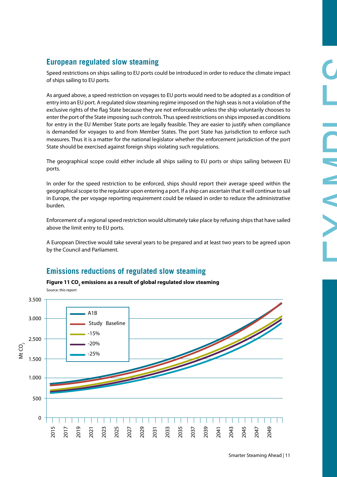#### **European regulated slow steaming**

Speed restrictions on ships sailing to EU ports could be introduced in order to reduce the climate impact of ships sailing to EU ports.

As argued above, a speed restriction on voyages to EU ports would need to be adopted as a condition of entry into an EU port. A regulated slow steaming regime imposed on the high seas is not a violation of the exclusive rights of the flag State because they are not enforceable unless the ship voluntarily chooses to enter the port of the State imposing such controls. Thus speed restrictions on ships imposed as conditions for entry in the EU Member State ports are legally feasible. They are easier to justify when compliance is demanded for voyages to and from Member States. The port State has jurisdiction to enforce such measures. Thus it is a matter for the national legislator whether the enforcement jurisdiction of the port State should be exercised against foreign ships violating such regulations.

The geographical scope could either include all ships sailing to EU ports or ships sailing between EU ports.

In order for the speed restriction to be enforced, ships should report their average speed within the geographical scope to the regulator upon entering a port. If a ship can ascertain that it will continue to sail in Europe, the per voyage reporting requirement could be relaxed in order to reduce the administrative burden.

Enforcement of a regional speed restriction would ultimately take place by refusing ships that have sailed above the limit entry to EU ports.

A European Directive would take several years to be prepared and at least two years to be agreed upon by the Council and Parliament.

#### **Emissions reductions of regulated slow steaming**

Figure 11 CO<sub>2</sub> emissions as a result of global regulated slow steaming Source: this report

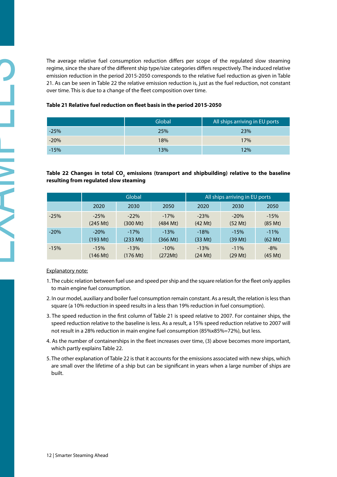The average relative fuel consumption reduction differs per scope of the regulated slow steaming regime, since the share of the different ship type/size categories differs respectively. The induced relative emission reduction in the period 2015-2050 corresponds to the relative fuel reduction as given in Table 21. As can be seen in Table 22 the relative emission reduction is, just as the fuel reduction, not constant over time. This is due to a change of the fleet composition over time.

|        | Global | All ships arriving in EU ports |  |  |  |
|--------|--------|--------------------------------|--|--|--|
| $-25%$ | 25%    | 23%                            |  |  |  |
| $-20%$ | 18%    | 17%                            |  |  |  |
| $-15%$ | 13%    | 12%                            |  |  |  |

#### Table 22 Changes in total CO<sub>2</sub> emissions (transport and shipbuilding) relative to the baseline **resulting from regulated slow steaming**

|        |                    | Global             |                    | All ships arriving in EU ports |                 |                   |  |
|--------|--------------------|--------------------|--------------------|--------------------------------|-----------------|-------------------|--|
|        | 2020               | 2030               | 2050               | 2020                           | 2030            | 2050              |  |
| $-25%$ | $-25%$             | $-22%$             | $-17%$             | $-23%$                         | $-20%$          | $-15%$            |  |
|        | $(245 \text{ Mt})$ | (300 Mt)           | $(484 \text{ Mt})$ | $(42 \text{ Mt})$              | $(52$ Mt)       | $(85 \text{ Mt})$ |  |
| $-20%$ | $-20%$             | $-17%$             | $-13%$             | $-18%$                         | $-15%$          | $-11%$            |  |
|        | $(193 \text{ Mt})$ | $(233 \text{ Mt})$ | $(366 \text{ Mt})$ | $(33 \text{ Mt})$              | (39 Mt)         | $(62$ Mt $)$      |  |
| $-15%$ | $-15%$             | $-13%$             | $-10%$             | $-13%$                         | $-11%$          | $-8%$             |  |
|        | $(146 \text{ Mt})$ | $(176 \text{ Mt})$ | (272Mt)            | $(24 \text{ Mt})$              | (29 <i>Mt</i> ) | $(45 \text{ Mt})$ |  |

#### Explanatory note:

- 1. The cubic relation between fuel use and speed per ship and the square relation for the fleet only applies to main engine fuel consumption.
- 2. In our model, auxiliary and boiler fuel consumption remain constant. As a result, the relation is less than square (a 10% reduction in speed results in a less than 19% reduction in fuel consumption).
- 3. The speed reduction in the first column of Table 21 is speed relative to 2007. For container ships, the speed reduction relative to the baseline is less. As a result, a 15% speed reduction relative to 2007 will not result in a 28% reduction in main engine fuel consumption (85%x85%=72%), but less.
- 4. As the number of containerships in the fleet increases over time, (3) above becomes more important, which partly explains Table 22.
- 5. The other explanation of Table 22 is that it accounts for the emissions associated with new ships, which are small over the lifetime of a ship but can be significant in years when a large number of ships are built.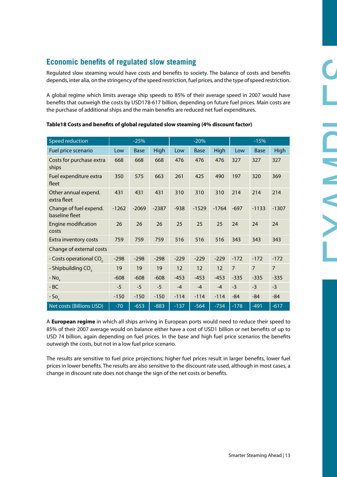#### **Economic benefits of regulated slow steaming**

Regulated slow steaming would have costs and benefits to society. The balance of costs and benefits depends, inter alia, on the stringency of the speed restriction, fuel prices, and the type of speed restriction.

A global regime which limits average ship speeds to 85% of their average speed in 2007 would have benefits that outweigh the costs by USD178-617 billion, depending on future fuel prices. Main costs are the purchase of additional ships and the main benefits are reduced net fuel expenditures.

| Speed reduction                          | $-25%$  |             |         | $-20%$ |             |         | $-15%$         |                |                |
|------------------------------------------|---------|-------------|---------|--------|-------------|---------|----------------|----------------|----------------|
| Fuel price scenario                      | Low     | <b>Base</b> | High    | Low    | <b>Base</b> | High    | Low            | <b>Base</b>    | High           |
| Costs for purchase extra<br>ships        | 668     | 668         | 668     | 476    | 476         | 476     | 327            | 327            | 327            |
| Fuel expenditure extra<br>fleet          | 350     | 575         | 663     | 261    | 425         | 490     | 197            | 320            | 369            |
| Other annual expend.<br>extra fleet      | 431     | 431         | 431     | 310    | 310         | 310     | 214            | 214            | 214            |
| Change of fuel expend.<br>baseline fleet | $-1262$ | $-2069$     | $-2387$ | $-938$ | $-1529$     | $-1764$ | $-697$         | $-1133$        | $-1307$        |
| <b>Engine modification</b><br>costs      | 26      | 26          | 26      | 25     | 25          | 25      | 24             | 24             | 24             |
| Extra inventory costs                    | 759     | 759         | 759     | 516    | 516         | 516     | 343            | 343            | 343            |
| Change of external costs                 |         |             |         |        |             |         |                |                |                |
| - Costs operational CO <sub>2</sub>      | $-298$  | $-298$      | $-298$  | $-229$ | $-229$      | $-229$  | $-172$         | $-172$         | $-172$         |
| - Shipbuilding CO <sub>2</sub>           | 19      | 19          | 19      | 12     | 12          | 12      | $\overline{7}$ | $\overline{7}$ | $\overline{7}$ |
| $-$ No $_{x}$                            | $-608$  | $-608$      | $-608$  | $-453$ | $-453$      | $-453$  | $-335$         | $-335$         | $-335$         |
| $-BC$                                    | $-5$    | $-5$        | $-5$    | $-4$   | $-4$        | $-4$    | $-3$           | $-3$           | $-3$           |
| $-50x$                                   | $-150$  | $-150$      | $-150$  | $-114$ | $-114$      | $-114$  | $-84$          | $-84$          | $-84$          |
| Net costs (Billions USD)                 | $-70$   | $-653$      | $-883$  | $-137$ | $-564$      | $-734$  | $-178$         | $-491$         | $-617$         |

**Table18 Costs and benefits of global regulated slow steaming (4% discount factor)**

A **European regime** in which all ships arriving in European ports would need to reduce their speed to 85% of their 2007 average would on balance either have a cost of USD1 billion or net benefits of up to USD 74 billion, again depending on fuel prices. In the base and high fuel price scenarios the benefits outweigh the costs, but not in a low fuel price scenario.

The results are sensitive to fuel price projections; higher fuel prices result in larger benefits, lower fuel prices in lower benefits. The results are also sensitive to the discount rate used, although in most cases, a change in discount rate does not change the sign of the net costs or benefits.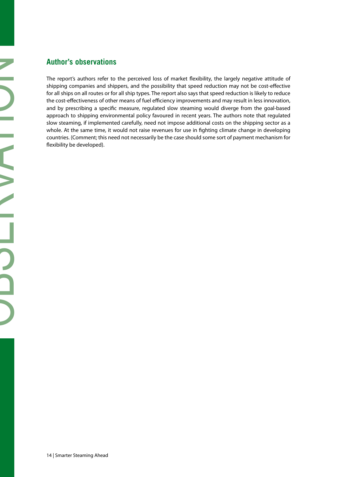#### **Author's observations**

The report's authors refer to the perceived loss of market flexibility, the largely negative attitude of shipping companies and shippers, and the possibility that speed reduction may not be cost-effective for all ships on all routes or for all ship types. The report also says that speed reduction is likely to reduce the cost-effectiveness of other means of fuel efficiency improvements and may result in less innovation, and by prescribing a specific measure, regulated slow steaming would diverge from the goal-based approach to shipping environmental policy favoured in recent years. The authors note that regulated slow steaming, if implemented carefully, need not impose additional costs on the shipping sector as a whole. At the same time, it would not raise revenues for use in fighting climate change in developing countries. {Comment; this need not necessarily be the case should some sort of payment mechanism for flexibility be developed}.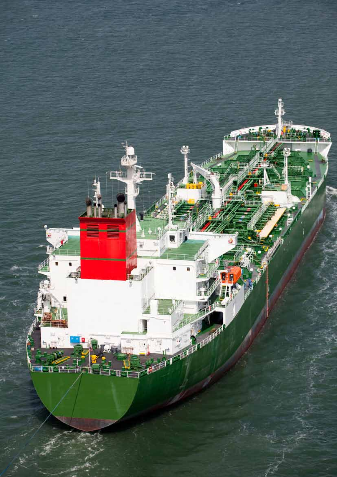